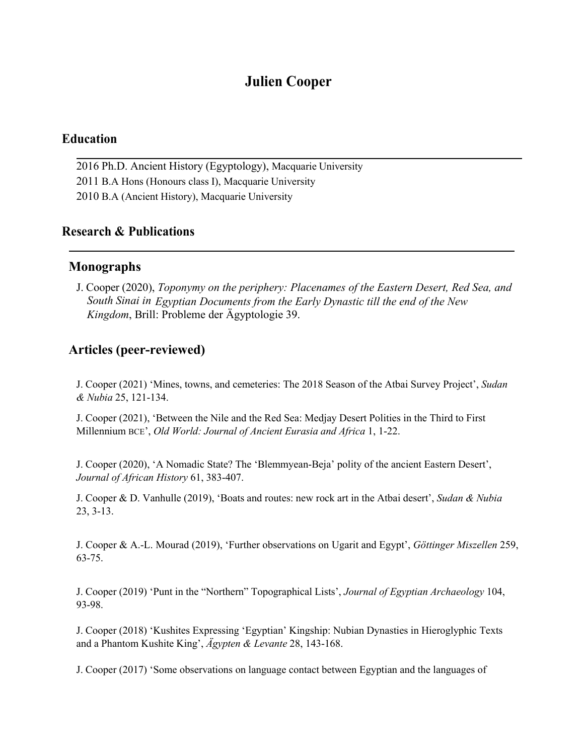# **Julien Cooper**

## **Education**

2016 Ph.D. Ancient History (Egyptology), Macquarie University 2011 B.A Hons (Honours class I), Macquarie University 2010 B.A (Ancient History), Macquarie University

## **Research & Publications**

## **Monographs**

J. Cooper (2020), *Toponymy on the periphery: Placenames of the Eastern Desert, Red Sea, and South Sinai in Egyptian Documents from the Early Dynastic till the end of the New Kingdom*, Brill: Probleme der Ägyptologie 39.

# **Articles (peer-reviewed)**

J. Cooper (2021) 'Mines, towns, and cemeteries: The 2018 Season of the Atbai Survey Project', *Sudan & Nubia* 25, 121-134.

J. Cooper (2021), 'Between the Nile and the Red Sea: Medjay Desert Polities in the Third to First Millennium BCE', *Old World: Journal of Ancient Eurasia and Africa* 1, 1-22.

J. Cooper (2020), 'A Nomadic State? The 'Blemmyean-Beja' polity of the ancient Eastern Desert', *Journal of African History* 61,383-407.

J. Cooper & D. Vanhulle (2019), 'Boats and routes: new rock art in the Atbai desert', *Sudan & Nubia* 23, 3-13.

J. Cooper & A.-L. Mourad (2019), 'Further observations on Ugarit and Egypt', *Göttinger Miszellen* 259, 63-75.

J. Cooper (2019) 'Punt in the "Northern" Topographical Lists', *Journal of Egyptian Archaeology* 104, 93-98.

J. Cooper (2018) 'Kushites Expressing 'Egyptian' Kingship: Nubian Dynasties in Hieroglyphic Texts and a Phantom Kushite King', *Ägypten & Levante* 28, 143-168.

J. Cooper (2017) 'Some observations on language contact between Egyptian and the languages of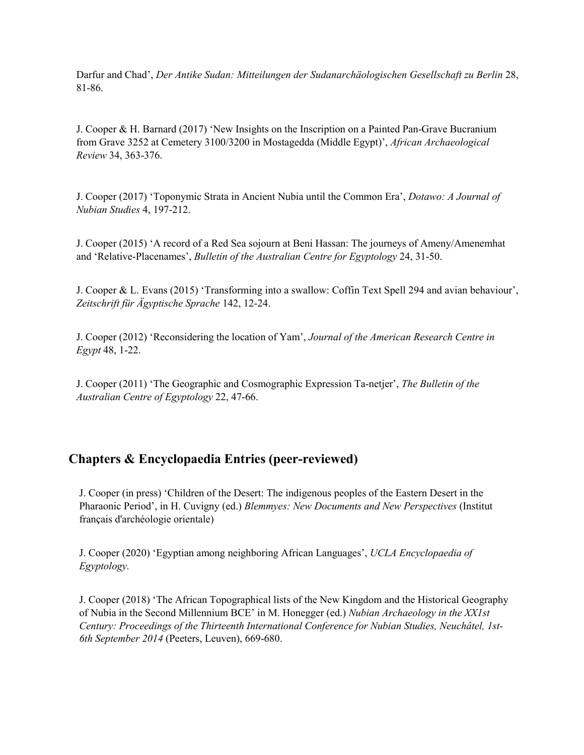Darfur and Chad', *Der Antike Sudan: Mitteilungen der Sudanarchäologischen Gesellschaft zu Berlin* 28, 81-86.

J. Cooper & H. Barnard (2017) 'New Insights on the Inscription on a Painted Pan-Grave Bucranium from Grave 3252 at Cemetery 3100/3200 in Mostagedda (Middle Egypt)', *African Archaeological Review* 34, 363-376.

J. Cooper (2017) 'Toponymic Strata in Ancient Nubia until the Common Era', *Dotawo: A Journal of Nubian Studies* 4, 197-212.

J. Cooper (2015) 'A record of a Red Sea sojourn at Beni Hassan: The journeys of Ameny/Amenemhat and 'Relative-Placenames', *Bulletin of the Australian Centre for Egyptology* 24, 31-50.

J. Cooper & L. Evans (2015) 'Transforming into a swallow: Coffin Text Spell 294 and avian behaviour', *Zeitschrift für Ägyptische Sprache* 142, 12-24.

J. Cooper (2012) 'Reconsidering the location of Yam', *Journal of the American Research Centre in Egypt* 48, 1-22.

J. Cooper (2011) 'The Geographic and Cosmographic Expression Ta-netjer', *The Bulletin of the Australian Centre of Egyptology* 22, 47-66.

# **Chapters & Encyclopaedia Entries (peer-reviewed)**

J. Cooper (in press) 'Children of the Desert:The indigenous peoples ofthe Eastern Desert in the Pharaonic Period', in H. Cuvigny (ed.) *Blemmyes: New Documents and New Perspectives* (Institut français d'archéologie orientale)

J. Cooper (2020) 'Egyptian among neighboring African Languages', *UCLA Encyclopaedia of Egyptology.*

J. Cooper (2018) 'The African Topographical lists ofthe New Kingdom and the Historical Geography of Nubia in the Second Millennium BCE' in M. Honegger (ed.) *Nubian Archaeology in the XX1st Century: Proceedings of the Thirteenth International Conference for Nubian Studies, Neuchâtel, 1st- 6th September 2014* (Peeters, Leuven), 669-680.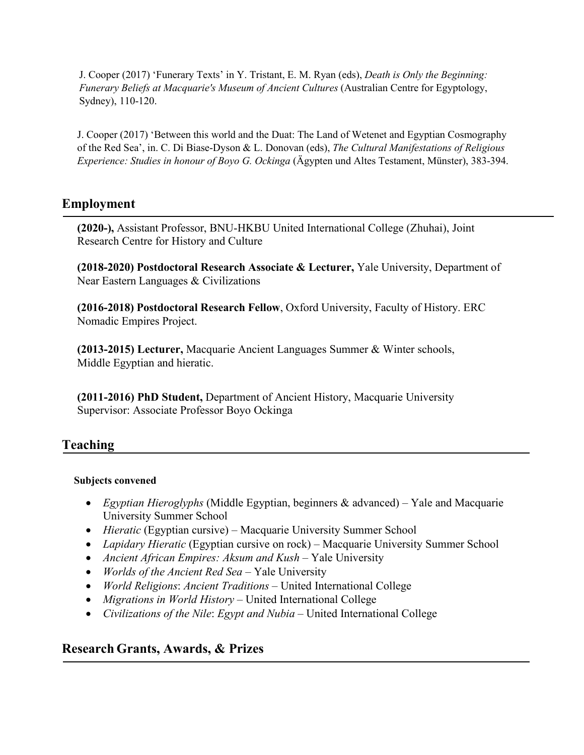J. Cooper (2017) 'Funerary Texts' in Y. Tristant,E. M. Ryan (eds), *Death is Only the Beginning: Funerary Beliefs at Macquarie's Museum of Ancient Cultures* (Australian Centre for Egyptology, Sydney), 110-120.

J. Cooper (2017) 'Between this world and the Duat: The Land of Wetenet and Egyptian Cosmography of the Red Sea', in. C. Di Biase-Dyson & L. Donovan (eds), *The Cultural Manifestations of Religious Experience: Studies in honour of Boyo G. Ockinga* (Ägypten und Altes Testament, Münster), 383-394.

# **Employment**

**(2020-),** Assistant Professor, BNU-HKBU United International College (Zhuhai), Joint Research Centre for History and Culture

**(2018-2020) Postdoctoral Research Associate & Lecturer,** Yale University, Department of Near Eastern Languages & Civilizations

**(2016-2018) Postdoctoral Research Fellow**, Oxford University, Faculty of History. ERC Nomadic Empires Project.

**(2013-2015) Lecturer,** Macquarie Ancient Languages Summer & Winter schools, Middle Egyptian and hieratic.

**(2011-2016) PhD Student,** Department of Ancient History, Macquarie University Supervisor: Associate Professor Boyo Ockinga

# **Teaching**

## **Subjects convened**

- *Egyptian Hieroglyphs* (Middle Egyptian, beginners & advanced) Yale and Macquarie University Summer School
- *Hieratic* (Egyptian cursive) Macquarie University Summer School
- *Lapidary Hieratic* (Egyptian cursive on rock) Macquarie University Summer School
- *Ancient African Empires: Aksum and Kush* Yale University
- *Worlds of the Ancient Red Sea* Yale University
- *World Religions*: *Ancient Traditions* United International College
- *Migrations in World History* United International College
- *Civilizations of the Nile*: *Egypt and Nubia* United International College

# **Research Grants, Awards, & Prizes**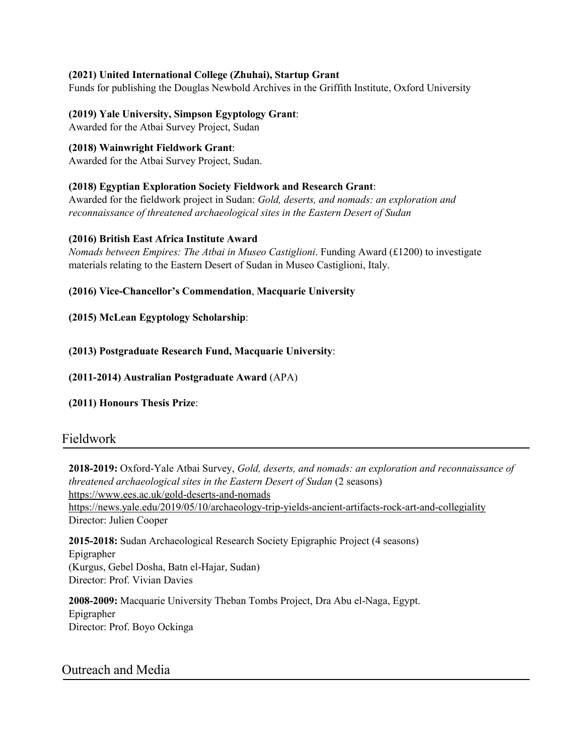#### **(2021) United International College (Zhuhai), Startup Grant**

Funds for publishing the Douglas Newbold Archives in the Griffith Institute, Oxford University

#### **(2019) Yale University, Simpson Egyptology Grant**:

Awarded for the Atbai Survey Project, Sudan

#### **(2018) Wainwright Fieldwork Grant**:

Awarded for the Atbai Survey Project, Sudan.

#### **(2018) Egyptian Exploration Society Fieldwork and Research Grant**:

Awarded for the fieldwork project in Sudan: *Gold, deserts, and nomads: an exploration and reconnaissance of threatened archaeological sites in the Eastern Desert of Sudan*

#### **(2016) British East Africa Institute Award**

*Nomads between Empires: The Atbai in Museo Castiglioni*. Funding Award (£1200) to investigate materials relating to the Eastern Desert of Sudan in Museo Castiglioni, Italy.

#### **(2016) Vice-Chancellor's Commendation**, **Macquarie University**

**(2015) McLean Egyptology Scholarship**:

#### **(2013) Postgraduate Research Fund, Macquarie University**:

**(2011-2014) Australian Postgraduate Award** (APA)

**(2011) Honours Thesis Prize**:

## Fieldwork

**2018-2019:** Oxford-Yale Atbai Survey, *Gold, deserts, and nomads: an exploration and reconnaissance of threatened archaeological sites in the Eastern Desert of Sudan* (2 seasons) <https://www.ees.ac.uk/gold-deserts-and-nomads> https://news.yale.edu/2019/05/10/archaeology-trip-yields-ancient-artifacts-rock-art-and-collegiality Director: Julien Cooper

**2015-2018:** Sudan Archaeological Research Society Epigraphic Project (4 seasons) Epigrapher (Kurgus, Gebel Dosha, Batn el-Hajar, Sudan) Director: Prof. Vivian Davies

**2008-2009:** Macquarie University Theban Tombs Project, Dra Abu el-Naga, Egypt. Epigrapher Director: Prof. Boyo Ockinga

## Outreach and Media